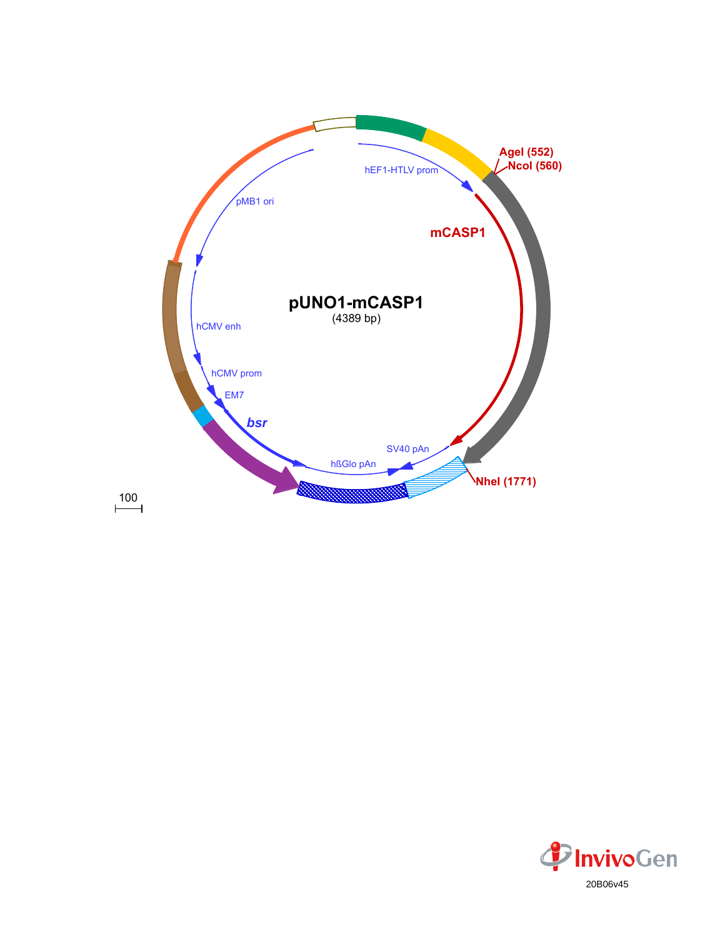

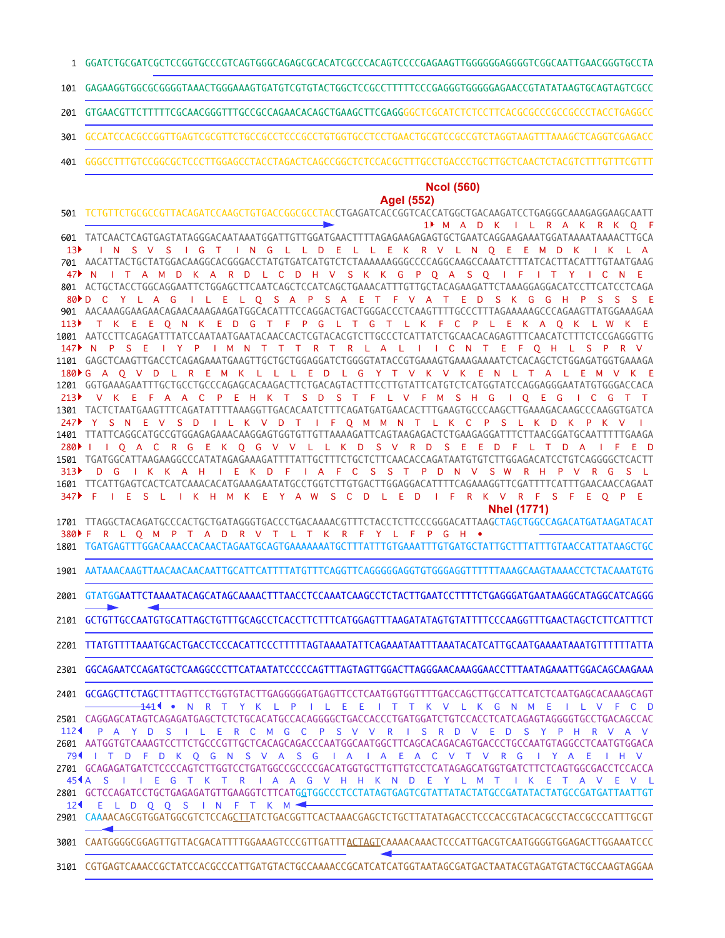- GGATCTGCGATCGCTCCGGTGCCCGTCAGTGGGCAGAGCGCACATCGCCCACAGTCCCCGAGAAGTTGGGGGGAGGGGTCGGCAATTGAACGGGTGCCTA 1
- GAGAAGGTGGCGCGGGGTAAACTGGGAAAGTGATGTCGTGTACTGGCTCCGCCTTTTTCCCGAGGGTGGGGGAGAACCGTATATAAGTGCAGTAGTCGCC 101
- GTGAACGTTCTTTTTCGCAACGGGTTTGCCGCCAGAACACAGCTGAAGCTTCGAGGGGCTCGCATCTCTCCTTCACGCGCCCGCCGCCCTACCTGAGGCC 201
- GCCATCCACGCCGGTTGAGTCGCGTTCTGCCGCCTCCCGCCTGTGGTGCCTCCTGAACTGCGTCCGCCGTCTAGGTAAGTTTAAAGCTCAGGTCGAGACC 301
- GGGCCTTTGTCCGGCGCTCCCTTGGAGCCTACCTAGACTCAGCCGGCTCTCCACGCTTTGCCTGACCCTGCTTGCTCAACTCTACGTCTTTGTTTCGTTT 401

## **NcoI (560)**

## **AgeI (552)**

- TCTGTTCTGCGCCGTTACAGATCCAAGCTGTGACCGGCGCCTACCTGAGATCACCGGTCACCATGGCTGACAAGATCCTGAGGGCAAAGAGGAAGCAATT 501 TATCAACTCAGTGAGTATAGGGACAATAAATGGATTGTTGGATGAACTTTTAGAGAAGAGAGTGCTGAATCAGGAAGAAATGGATAAAATAAAACTTGCA 601 AACATTACTGCTATGGACAAGGCACGGGACCTATGTGATCATGTCTCTAAAAAAGGGCCCCAGGCAAGCCAAATCTTTATCACTTACATTTGTAATGAAG 701 ACTGCTACCTGGCAGGAATTCTGGAGCTTCAATCAGCTCCATCAGCTGAAACATTTGTTGCTACAGAAGATTCTAAAGGAGGACATCCTTCATCCTCAGA 801 AACAAAGGAAGAACAGAACAAAGAAGATGGCACATTTCCAGGACTGACTGGGACCCTCAAGTTTTGCCCTTTAGAAAAAGCCCAGAAGTTATGGAAAGAA 901 1001 AATCCTTCAGAGATTTATCCAATAATGAATACAACCACTCGTACACGTCTTGCCCTCATTATCTGCAACACAGAGTTTCAACATCTTTCTCCGAGGGTTG GAGCTCAAGTTGACCTCAGAGAAATGAAGTTGCTGCTGGAGGATCTGGGGTATACCGTGAAAGTGAAAGAAAATCTCACAGCTCTGGAGATGGTGAAAGA 1101 GGTGAAAGAATTTGCTGCCTGCCCAGAGCACAAGACTTCTGACAGTACTTTCCTTGTATTCATGTCTCATGGTATCCAGGAGGGAATATGTGGGACCACA 1201 TACTCTAATGAAGTTTCAGATATTTTAAAGGTTGACACAATCTTTCAGATGATGAACACTTTGAAGTGCCCAAGCTTGAAAGACAAGCCCAAGGTGATCA 1301 TTATTCAGGCATGCCGTGGAGAGAAACAAGGAGTGGTGTTGTTAAAAGATTCAGTAAGAGACTCTGAAGAGGATTTCTTAACGGATGCAATTTTTGAAGA 1401 1501 TGATGGCATTAAGAAGGCCCATATAGAGAAAGATTTTATTGCTTTCTGCTCTTCAACACCAGATAATGTGTCTTGGAGACATCCTGTCAGGGGCTCACTT TTCATTGAGTCACTCATCAAACACATGAAAGAATATGCCTGGTCTTGTGACTTGGAGGACATTTTCAGAAAGGTTCGATTTTCATTTGAACAACCAGAAT 1601 TTAGGCTACAGATGCCCACTGCTGATAGGGTGACCCTGACAAAACGTTTCTACCTCTTCCCGGGACATTAAGCTAGCTGGCCAGACATGATAAGATACAT 1701 TGATGAGTTTGGACAAACCACAACTAGAATGCAGTGAAAAAAATGCTTTATTTGTGAAATTTGTGATGCTATTGCTTTATTTGTAACCATTATAAGCTGC 1801 1901 AATAAACAAGTTAACAACAACAATTGCATTCATTTTATGTTTCAGGTTCAGGGGGAGGTGTGGGAGGTTTTTTAAAGCAAGTAAAACCTCTACAAATGTG GTATGGAATTCTAAAATACAGCATAGCAAAACTTTAACCTCCAAATCAAGCCTCTACTTGAATCCTTTTCTGAGGGATGAATAAGGCATAGGCATCAGGG 2101 GCTGTTGCCAATGTGCATTAGCTGTTTGCAGCCTCACCTTCTTTCATGGAGTTTAAGATATAGTGTATTTTCCCAAGGTTTGAACTAGCTCTTCATTTCT TTATGTTTTAAATGCACTGACCTCCCACATTCCCTTTTTAGTAAAATATTCAGAAATAATTTAAATACATCATTGCAATGAAAATAAATGTTTTTTATTA 2201 GGCAGAATCCAGATGCTCAAGGCCCTTCATAATATCCCCCAGTTTAGTAGTTGGACTTAGGGAACAAAGGAACCTTTAATAGAAATTGGACAGCAAGAAA 2301 2401 GCGAGCTTCTAGCTTTAGTTCCTGGTGTACTTGAGGGGGATGAGTTCCTCAATGGTGGTTTTTGACCAGCTTGCCATTCATCTCAATGAGCACAAAGCAGT 2501 CAGGAGCATAGTCAGAGATGAGCTCTCTGCACATGCCACAGGGGCTGACCACCCTGATGGATCTGTCCACCTCATCAGAGTAGGGGTGCCTGACAGCCAC AATGGTGTCAAAGTCCTTCTGCCCGTTGCTCACAGCAGACCCAATGGCAATGGCTTCAGCACAGACAGTGACCCTGCCAATGTAGGCCTCAATGTGGACA 2601 2701 GCAGAGATGATCTCCCCAGTCTTGGTCCTGATGGCCGCCCCGACATGGTGCTTGTTGTCCTCATAGAGCATGGTGATCTTCTCAGTGGCGACCTCCACCA 2801 GCTCCAGATCCTGCTGAGAGATGTTGAAGGTCTTCATG<u>G</u>TGGCCCTCCTATAGTGAGTCGTATTATACTATGCCGATATACTATGCCGATGATTAATTGT 2901 CAAAACAGCGTGGATGGCGTCTCCAG<u>CTT</u>ATCTGACGGTTCACTAAACGAGCTCTGCTTATATAGACCTCCCACCGTACACGCCTACCGCCCATTTGCGT • N R T Y K L P I L E E I T T K V L K G N M E I L V F C D 141 P A Y D S I L E R C M G C P S V V R I S R D V E D S Y P H R V A V 112 79¶ I T D F D K Q G N S V A S G I A I A E A C V T V R G I Y A E I H V 454 A S I I E G T K T R I A A G V H H K N D E Y L M T I K E T A V E V L E L D Q Q S I N F T K M 12 M A D K I L R A K R K Q F 1 I N S V S I G T I N G L L D E L L E K R V L N Q E E M D K I K L A N I T A M D K A R D L C D H V S K K G P Q A S Q I F I T Y I C N E D C Y L A G I L E L Q S A P S A E T F V A T E D S K G G H P S S S E 80 T K E E Q N K E D G T F P G L T G T L K F C P L E K A Q K L W K E N P S E I Y P I M N T T T R T R L A L I I C N T E F Q H L S P R V 147 180 PG A Q V D L R E M K L L L E D L G Y T V K V K E N L T A L E M V K E V K E F A A C P E H K T S D S T F L V F M S H G I Q E G I C G T T Y S N E V S D I L K V D T I F Q M M N T L K C P S L K D K P K V I 247 280 I I Q A C R G E K Q G V V L L K D S V R D S E E D F L T D A I F E D D G I K K A H I E K D F I A F C S S T P D N V S W R H P V R G S L 313 F I E S L I K H M K E Y A W S C D L E D I F R K V R F S F E Q P E 347 F R L Q M P T A D R V T L T K R F Y L F P G H • 380**NheI (1771)** 2001  $13<sup>b</sup>$ 47  $113$  $213$
- 3001 CAATGGGGCGGAGTTGTTACGACATTTTGGAAAGTCCCGTTGATTT<u>ACTAGT</u>CAAAACAAACTCCCATTGACGTCAATGGGGTGGAGACTTGGAAATCCC
- 3101 CGTGAGTCAAACCGCTATCCACGCCCATTGATGTACTGCCAAAACCGCATCATCATGGTAATAGCGATGACTAATACGTAGATGTACTGCCAAGTAGGAA